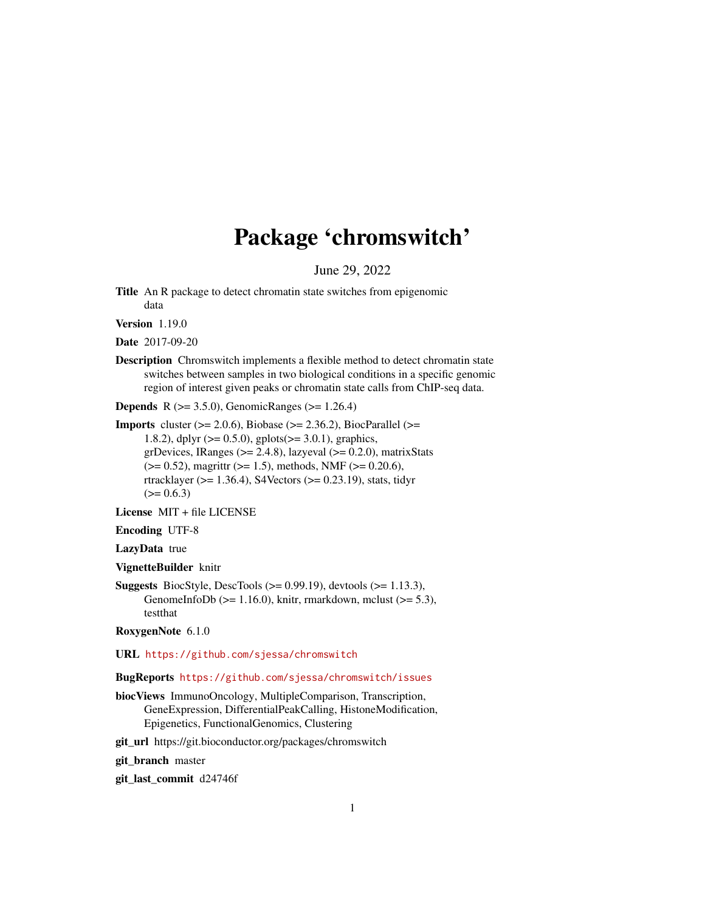# Package 'chromswitch'

June 29, 2022

Title An R package to detect chromatin state switches from epigenomic data

Version 1.19.0

Date 2017-09-20

Description Chromswitch implements a flexible method to detect chromatin state switches between samples in two biological conditions in a specific genomic region of interest given peaks or chromatin state calls from ChIP-seq data.

**Depends** R  $(>= 3.5.0)$ , GenomicRanges  $(>= 1.26.4)$ 

**Imports** cluster  $(>= 2.0.6)$ , Biobase  $(>= 2.36.2)$ , BiocParallel  $(>=$ 1.8.2), dplyr ( $>= 0.5.0$ ), gplots( $>= 3.0.1$ ), graphics, grDevices, IRanges ( $>= 2.4.8$ ), lazyeval ( $>= 0.2.0$ ), matrixStats  $(>= 0.52)$ , magrittr  $(>= 1.5)$ , methods, NMF  $(>= 0.20.6)$ , rtracklayer ( $> = 1.36.4$ ), S4Vectors ( $> = 0.23.19$ ), stats, tidyr  $(>= 0.6.3)$ 

License MIT + file LICENSE

Encoding UTF-8

LazyData true

VignetteBuilder knitr

**Suggests** BiocStyle, DescTools  $(>= 0.99.19)$ , devtools  $(>= 1.13.3)$ , GenomeInfoDb ( $>= 1.16.0$ ), knitr, rmarkdown, mclust ( $>= 5.3$ ), testthat

RoxygenNote 6.1.0

URL <https://github.com/sjessa/chromswitch>

#### BugReports <https://github.com/sjessa/chromswitch/issues>

biocViews ImmunoOncology, MultipleComparison, Transcription, GeneExpression, DifferentialPeakCalling, HistoneModification, Epigenetics, FunctionalGenomics, Clustering

git\_url https://git.bioconductor.org/packages/chromswitch

git branch master

git\_last\_commit d24746f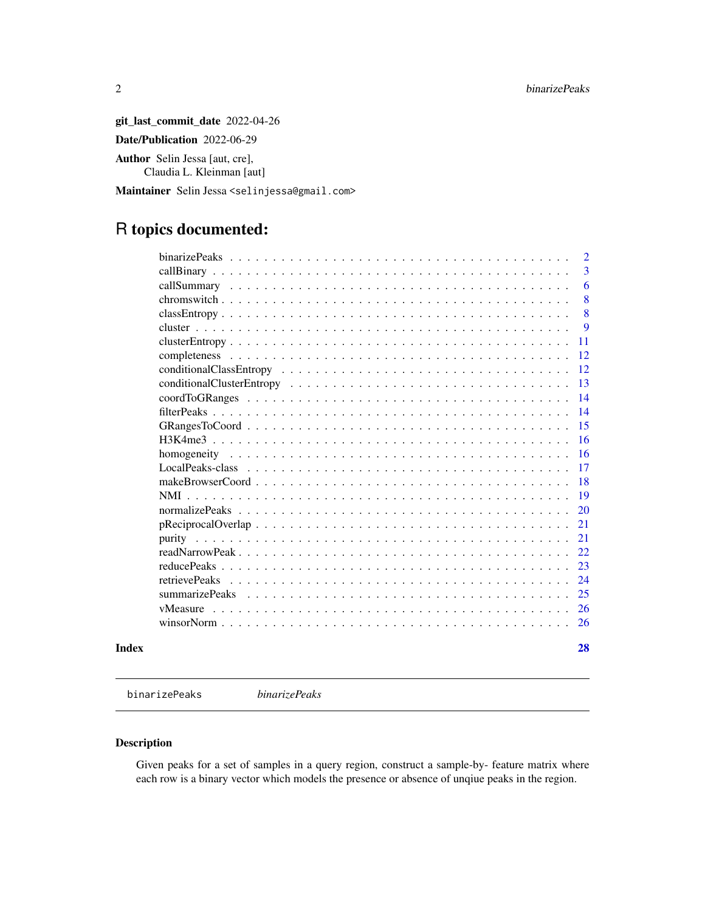git\_last\_commit\_date 2022-04-26 Date/Publication 2022-06-29 Author Selin Jessa [aut, cre], Claudia L. Kleinman [aut]

Maintainer Selin Jessa <selinjessa@gmail.com>

# R topics documented:

|                | $\overline{2}$ |
|----------------|----------------|
|                | 3              |
|                | 6              |
|                | 8              |
|                | 8              |
|                | 9              |
|                | 11             |
|                | 12             |
|                | 12             |
|                | 13             |
|                | 14             |
|                | 14             |
|                | 15             |
|                | 16             |
|                | 16             |
|                | 17             |
|                | 18             |
| <b>NMI</b>     | 19             |
|                | 20             |
|                | 21             |
|                | 21             |
|                | 22             |
|                | 23             |
| retrievePeaks  | 24             |
| summarizePeaks | 25             |
| vMeasure       | 26             |
|                | 26             |
|                |                |

#### **Index** [28](#page-27-0) and 2012, the contract of the contract of the contract of the contract of the contract of the contract of the contract of the contract of the contract of the contract of the contract of the contract of the contr

<span id="page-1-1"></span>binarizePeaks *binarizePeaks*

#### Description

Given peaks for a set of samples in a query region, construct a sample-by- feature matrix where each row is a binary vector which models the presence or absence of unqiue peaks in the region.

<span id="page-1-0"></span>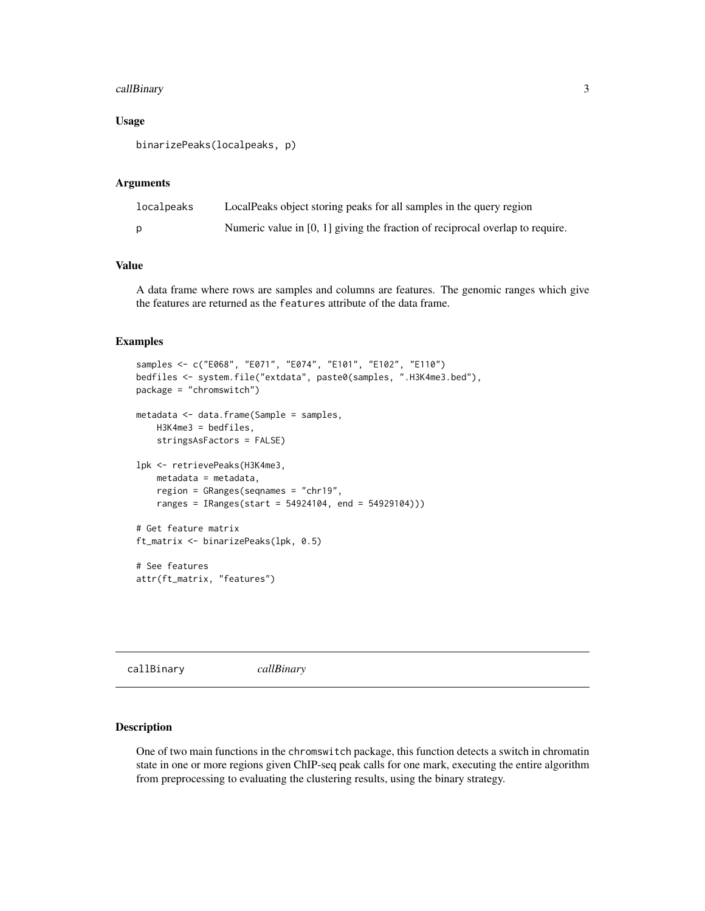#### <span id="page-2-0"></span>callBinary 3

#### Usage

binarizePeaks(localpeaks, p)

#### Arguments

| localpeaks | LocalPeaks object storing peaks for all samples in the query region             |
|------------|---------------------------------------------------------------------------------|
|            | Numeric value in $[0, 1]$ giving the fraction of reciprocal overlap to require. |

#### Value

A data frame where rows are samples and columns are features. The genomic ranges which give the features are returned as the features attribute of the data frame.

#### Examples

```
samples <- c("E068", "E071", "E074", "E101", "E102", "E110")
bedfiles <- system.file("extdata", paste0(samples, ".H3K4me3.bed"),
package = "chromswitch")
metadata <- data.frame(Sample = samples,
   H3K4me3 = bedfiles,
   stringsAsFactors = FALSE)
lpk <- retrievePeaks(H3K4me3,
    metadata = metadata,
    region = GRanges(seqnames = "chr19",
    ranges = IRanges(start = 54924104, end = 54929104)))
# Get feature matrix
ft_matrix <- binarizePeaks(lpk, 0.5)
# See features
attr(ft_matrix, "features")
```
callBinary *callBinary*

## Description

One of two main functions in the chromswitch package, this function detects a switch in chromatin state in one or more regions given ChIP-seq peak calls for one mark, executing the entire algorithm from preprocessing to evaluating the clustering results, using the binary strategy.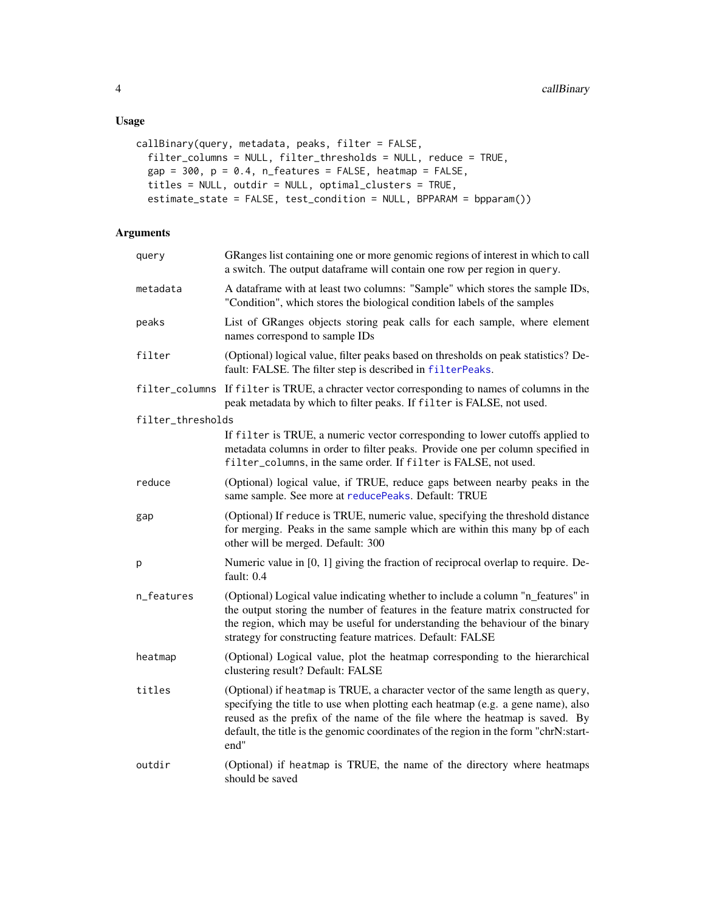```
callBinary(query, metadata, peaks, filter = FALSE,
  filter_columns = NULL, filter_thresholds = NULL, reduce = TRUE,
  gap = 300, p = 0.4, n_features = FALSE, heatmap = FALSE,
 titles = NULL, outdir = NULL, optimal_clusters = TRUE,
  estimate_state = FALSE, test_condition = NULL, BPPARAM = bpparam())
```
#### Arguments

| query             | GRanges list containing one or more genomic regions of interest in which to call<br>a switch. The output dataframe will contain one row per region in query.                                                                                                                                                                                     |
|-------------------|--------------------------------------------------------------------------------------------------------------------------------------------------------------------------------------------------------------------------------------------------------------------------------------------------------------------------------------------------|
| metadata          | A dataframe with at least two columns: "Sample" which stores the sample IDs,<br>"Condition", which stores the biological condition labels of the samples                                                                                                                                                                                         |
| peaks             | List of GRanges objects storing peak calls for each sample, where element<br>names correspond to sample IDs                                                                                                                                                                                                                                      |
| filter            | (Optional) logical value, filter peaks based on thresholds on peak statistics? De-<br>fault: FALSE. The filter step is described in filterPeaks.                                                                                                                                                                                                 |
|                   | filter_columns If filter is TRUE, a chracter vector corresponding to names of columns in the<br>peak metadata by which to filter peaks. If filter is FALSE, not used.                                                                                                                                                                            |
| filter_thresholds |                                                                                                                                                                                                                                                                                                                                                  |
|                   | If filter is TRUE, a numeric vector corresponding to lower cutoffs applied to<br>metadata columns in order to filter peaks. Provide one per column specified in<br>filter_columns, in the same order. If filter is FALSE, not used.                                                                                                              |
| reduce            | (Optional) logical value, if TRUE, reduce gaps between nearby peaks in the<br>same sample. See more at reducePeaks. Default: TRUE                                                                                                                                                                                                                |
| gap               | (Optional) If reduce is TRUE, numeric value, specifying the threshold distance<br>for merging. Peaks in the same sample which are within this many bp of each<br>other will be merged. Default: 300                                                                                                                                              |
| p                 | Numeric value in [0, 1] giving the fraction of reciprocal overlap to require. De-<br>fault: 0.4                                                                                                                                                                                                                                                  |
| n_features        | (Optional) Logical value indicating whether to include a column "n_features" in<br>the output storing the number of features in the feature matrix constructed for<br>the region, which may be useful for understanding the behaviour of the binary<br>strategy for constructing feature matrices. Default: FALSE                                |
| heatmap           | (Optional) Logical value, plot the heatmap corresponding to the hierarchical<br>clustering result? Default: FALSE                                                                                                                                                                                                                                |
| titles            | (Optional) if heatmap is TRUE, a character vector of the same length as query,<br>specifying the title to use when plotting each heatmap (e.g. a gene name), also<br>reused as the prefix of the name of the file where the heatmap is saved. By<br>default, the title is the genomic coordinates of the region in the form "chrN:start-<br>end" |
| outdir            | (Optional) if heatmap is TRUE, the name of the directory where heatmaps<br>should be saved                                                                                                                                                                                                                                                       |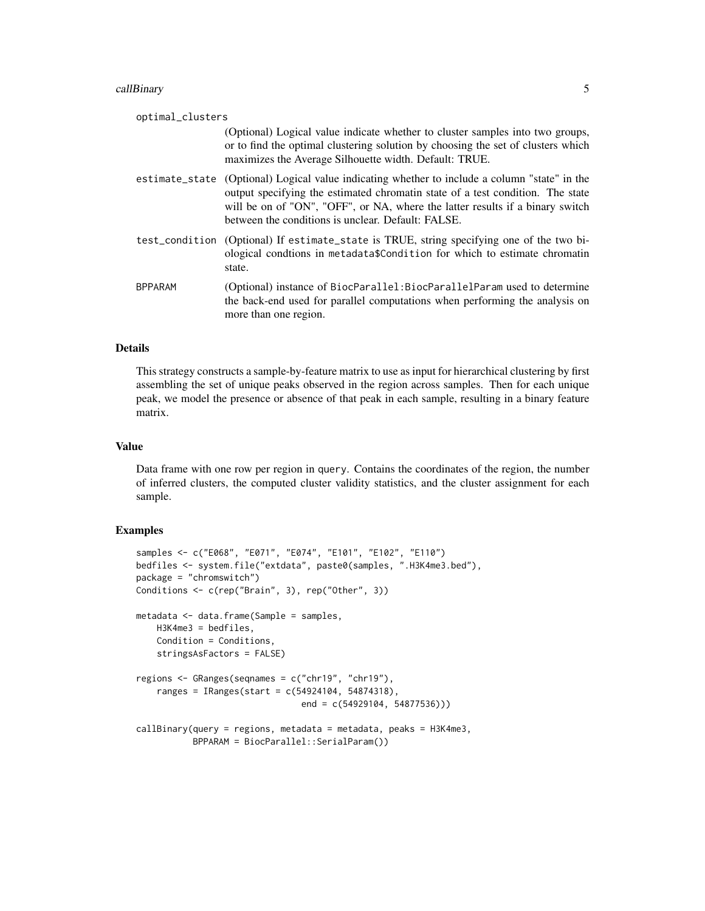#### callBinary 5

| optimal_clusters |                                                                                                                                                                                                                                                                                                                        |
|------------------|------------------------------------------------------------------------------------------------------------------------------------------------------------------------------------------------------------------------------------------------------------------------------------------------------------------------|
|                  | (Optional) Logical value indicate whether to cluster samples into two groups,<br>or to find the optimal clustering solution by choosing the set of clusters which<br>maximizes the Average Silhouette width. Default: TRUE.                                                                                            |
|                  | estimate_state (Optional) Logical value indicating whether to include a column "state" in the<br>output specifying the estimated chromatin state of a test condition. The state<br>will be on of "ON", "OFF", or NA, where the latter results if a binary switch<br>between the conditions is unclear. Default: FALSE. |
|                  | test_condition (Optional) If estimate_state is TRUE, string specifying one of the two bi-<br>ological conditions in metadata\$Condition for which to estimate chromatin<br>state.                                                                                                                                      |
| <b>BPPARAM</b>   | (Optional) instance of BiocParallel: BiocParallelParam used to determine<br>the back-end used for parallel computations when performing the analysis on<br>more than one region.                                                                                                                                       |

#### Details

This strategy constructs a sample-by-feature matrix to use as input for hierarchical clustering by first assembling the set of unique peaks observed in the region across samples. Then for each unique peak, we model the presence or absence of that peak in each sample, resulting in a binary feature matrix.

#### Value

Data frame with one row per region in query. Contains the coordinates of the region, the number of inferred clusters, the computed cluster validity statistics, and the cluster assignment for each sample.

```
samples <- c("E068", "E071", "E074", "E101", "E102", "E110")
bedfiles <- system.file("extdata", paste0(samples, ".H3K4me3.bed"),
package = "chromswitch")
Conditions <- c(rep("Brain", 3), rep("Other", 3))
metadata <- data.frame(Sample = samples,
   H3K4me3 = bedfiles,
    Condition = Conditions,
    stringsAsFactors = FALSE)
regions <- GRanges(seqnames = c("chr19", "chr19"),
    ranges = IRanges(start = c(54924104, 54874318),
                                end = c(54929104, 54877536)))
calBBinary(query = regions, metadata = metadata, peaks = H3K4me3,
           BPPARAM = BiocParallel::SerialParam())
```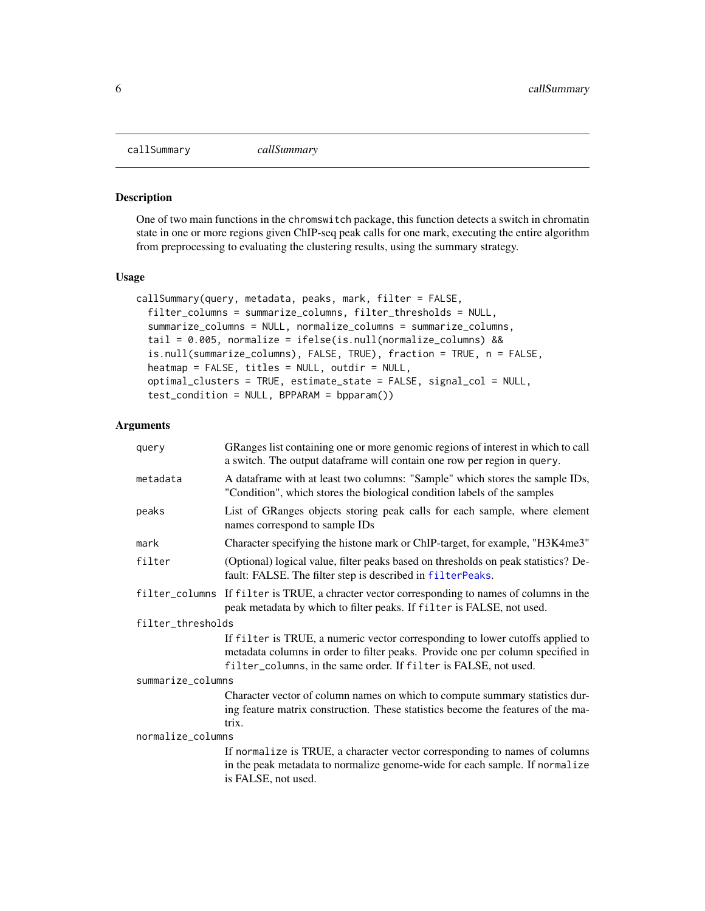<span id="page-5-0"></span>

#### Description

One of two main functions in the chromswitch package, this function detects a switch in chromatin state in one or more regions given ChIP-seq peak calls for one mark, executing the entire algorithm from preprocessing to evaluating the clustering results, using the summary strategy.

#### Usage

```
callSummary(query, metadata, peaks, mark, filter = FALSE,
  filter_columns = summarize_columns, filter_thresholds = NULL,
  summarize_columns = NULL, normalize_columns = summarize_columns,
  tail = 0.005, normalize = ifelse(is.null(normalize_columns) &&
  is.null(summarize_columns), FALSE, TRUE), fraction = TRUE, n = FALSE,
  heatmap = FALSE, titles = NULL, outdir = NULL,
  optimal_clusters = TRUE, estimate_state = FALSE, signal_col = NULL,
  test_condition = NULL, BPPARAM = bpparam())
```
#### Arguments

| query             | GRanges list containing one or more genomic regions of interest in which to call<br>a switch. The output dataframe will contain one row per region in query.                                                                        |  |
|-------------------|-------------------------------------------------------------------------------------------------------------------------------------------------------------------------------------------------------------------------------------|--|
| metadata          | A dataframe with at least two columns: "Sample" which stores the sample IDs,<br>"Condition", which stores the biological condition labels of the samples                                                                            |  |
| peaks             | List of GRanges objects storing peak calls for each sample, where element<br>names correspond to sample IDs                                                                                                                         |  |
| mark              | Character specifying the histone mark or ChIP-target, for example, "H3K4me3"                                                                                                                                                        |  |
| filter            | (Optional) logical value, filter peaks based on thresholds on peak statistics? De-<br>fault: FALSE. The filter step is described in filterPeaks.                                                                                    |  |
| filter_columns    | If filter is TRUE, a chracter vector corresponding to names of columns in the<br>peak metadata by which to filter peaks. If filter is FALSE, not used.                                                                              |  |
| filter_thresholds |                                                                                                                                                                                                                                     |  |
|                   | If filter is TRUE, a numeric vector corresponding to lower cutoffs applied to<br>metadata columns in order to filter peaks. Provide one per column specified in<br>filter_columns, in the same order. If filter is FALSE, not used. |  |
| summarize_columns |                                                                                                                                                                                                                                     |  |
|                   | Character vector of column names on which to compute summary statistics dur-<br>ing feature matrix construction. These statistics become the features of the ma-<br>trix.                                                           |  |
| normalize_columns |                                                                                                                                                                                                                                     |  |
|                   | If normalize is TRUE, a character vector corresponding to names of columns<br>in the peak metadata to normalize genome-wide for each sample. If normalize<br>is FALSE, not used.                                                    |  |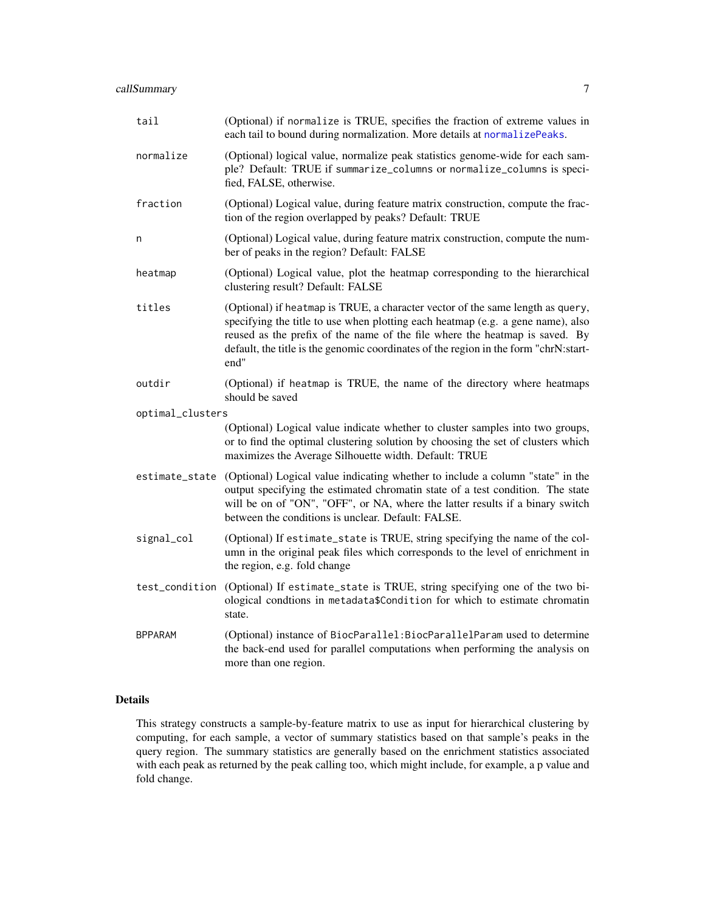<span id="page-6-0"></span>

| tail             | (Optional) if normalize is TRUE, specifies the fraction of extreme values in<br>each tail to bound during normalization. More details at normalizePeaks.                                                                                                                                                                                         |
|------------------|--------------------------------------------------------------------------------------------------------------------------------------------------------------------------------------------------------------------------------------------------------------------------------------------------------------------------------------------------|
| normalize        | (Optional) logical value, normalize peak statistics genome-wide for each sam-<br>ple? Default: TRUE if summarize_columns or normalize_columns is speci-<br>fied, FALSE, otherwise.                                                                                                                                                               |
| fraction         | (Optional) Logical value, during feature matrix construction, compute the frac-<br>tion of the region overlapped by peaks? Default: TRUE                                                                                                                                                                                                         |
| n                | (Optional) Logical value, during feature matrix construction, compute the num-<br>ber of peaks in the region? Default: FALSE                                                                                                                                                                                                                     |
| heatmap          | (Optional) Logical value, plot the heatmap corresponding to the hierarchical<br>clustering result? Default: FALSE                                                                                                                                                                                                                                |
| titles           | (Optional) if heatmap is TRUE, a character vector of the same length as query,<br>specifying the title to use when plotting each heatmap (e.g. a gene name), also<br>reused as the prefix of the name of the file where the heatmap is saved. By<br>default, the title is the genomic coordinates of the region in the form "chrN:start-<br>end" |
| outdir           | (Optional) if heatmap is TRUE, the name of the directory where heatmaps<br>should be saved                                                                                                                                                                                                                                                       |
| optimal_clusters |                                                                                                                                                                                                                                                                                                                                                  |
|                  | (Optional) Logical value indicate whether to cluster samples into two groups,<br>or to find the optimal clustering solution by choosing the set of clusters which<br>maximizes the Average Silhouette width. Default: TRUE                                                                                                                       |
|                  | estimate_state (Optional) Logical value indicating whether to include a column "state" in the<br>output specifying the estimated chromatin state of a test condition. The state<br>will be on of "ON", "OFF", or NA, where the latter results if a binary switch<br>between the conditions is unclear. Default: FALSE.                           |
| signal_col       | (Optional) If estimate_state is TRUE, string specifying the name of the col-<br>umn in the original peak files which corresponds to the level of enrichment in<br>the region, e.g. fold change                                                                                                                                                   |
| test_condition   | (Optional) If estimate_state is TRUE, string specifying one of the two bi-<br>ological condtions in metadata\$Condition for which to estimate chromatin<br>state.                                                                                                                                                                                |
| <b>BPPARAM</b>   | (Optional) instance of BiocParallel: BiocParallelParam used to determine<br>the back-end used for parallel computations when performing the analysis on<br>more than one region.                                                                                                                                                                 |

#### Details

This strategy constructs a sample-by-feature matrix to use as input for hierarchical clustering by computing, for each sample, a vector of summary statistics based on that sample's peaks in the query region. The summary statistics are generally based on the enrichment statistics associated with each peak as returned by the peak calling too, which might include, for example, a p value and fold change.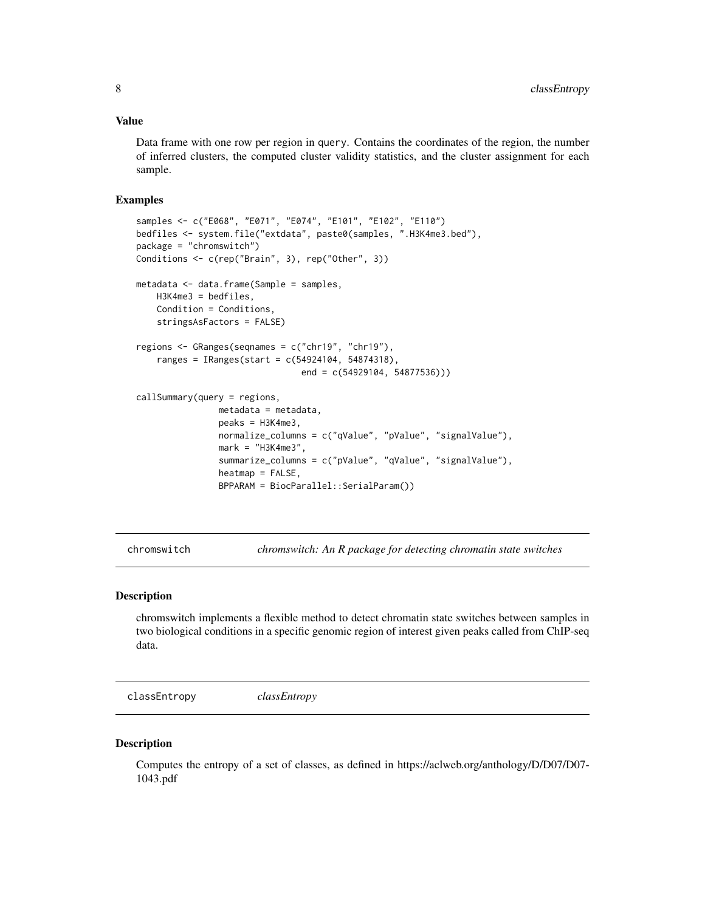#### <span id="page-7-0"></span>Value

Data frame with one row per region in query. Contains the coordinates of the region, the number of inferred clusters, the computed cluster validity statistics, and the cluster assignment for each sample.

#### Examples

```
samples <- c("E068", "E071", "E074", "E101", "E102", "E110")
bedfiles <- system.file("extdata", paste0(samples, ".H3K4me3.bed"),
package = "chromswitch")
Conditions <- c(rep("Brain", 3), rep("Other", 3))
metadata <- data.frame(Sample = samples,
   H3K4me3 = bedfiles,
    Condition = Conditions,
    stringsAsFactors = FALSE)
regions <- GRanges(seqnames = c("chr19", "chr19"),
    ranges = IRanges(start = c(54924104, 54874318),
                                end = c(54929104, 54877536)))
callSummary(query = regions,
                metadata = metadata,
                peaks = H3K4me3,
                normalize_columns = c("qValue", "pValue", "signalValue"),
                mark = "H3K4me3",
                summarize_columns = c("pValue", "qValue", "signalValue"),
                heatmap = FALSE,
                BPPARAM = BiocParallel::SerialParam())
```
chromswitch *chromswitch: An R package for detecting chromatin state switches*

#### **Description**

chromswitch implements a flexible method to detect chromatin state switches between samples in two biological conditions in a specific genomic region of interest given peaks called from ChIP-seq data.

classEntropy *classEntropy*

#### **Description**

Computes the entropy of a set of classes, as defined in https://aclweb.org/anthology/D/D07/D07- 1043.pdf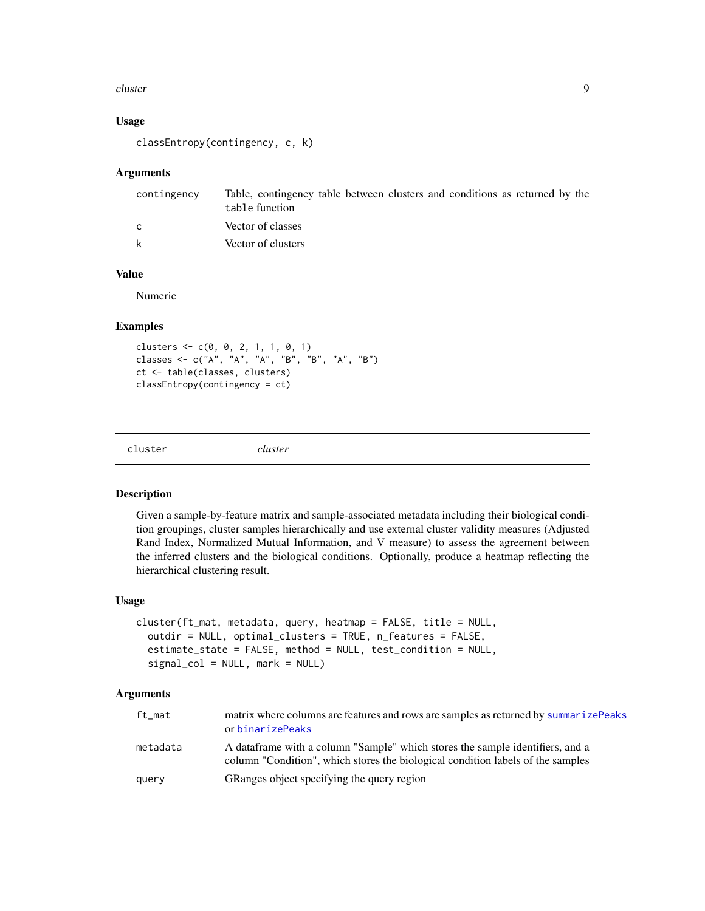#### <span id="page-8-0"></span>cluster **9**

#### Usage

```
classEntropy(contingency, c, k)
```
#### Arguments

| contingency | Table, contingency table between clusters and conditions as returned by the<br>table function |
|-------------|-----------------------------------------------------------------------------------------------|
| C           | Vector of classes                                                                             |
| k           | Vector of clusters                                                                            |

#### Value

Numeric

#### Examples

clusters <- c(0, 0, 2, 1, 1, 0, 1) classes <- c("A", "A", "A", "B", "B", "A", "B") ct <- table(classes, clusters) classEntropy(contingency = ct)

| ∴luster |  |
|---------|--|
|         |  |

cluster *cluster*

#### Description

Given a sample-by-feature matrix and sample-associated metadata including their biological condition groupings, cluster samples hierarchically and use external cluster validity measures (Adjusted Rand Index, Normalized Mutual Information, and V measure) to assess the agreement between the inferred clusters and the biological conditions. Optionally, produce a heatmap reflecting the hierarchical clustering result.

#### Usage

```
cluster(ft_mat, metadata, query, heatmap = FALSE, title = NULL,
 outdir = NULL, optimal_clusters = TRUE, n_features = FALSE,
  estimate_state = FALSE, method = NULL, test_condition = NULL,
  signal_col = NULL, mark = NULL)
```
#### Arguments

| ft mat   | matrix where columns are features and rows are samples as returned by summarizePeaks<br>or binarizePeaks                                                          |
|----------|-------------------------------------------------------------------------------------------------------------------------------------------------------------------|
| metadata | A data frame with a column "Sample" which stores the sample identifiers, and a<br>column "Condition", which stores the biological condition labels of the samples |
| query    | GRanges object specifying the query region                                                                                                                        |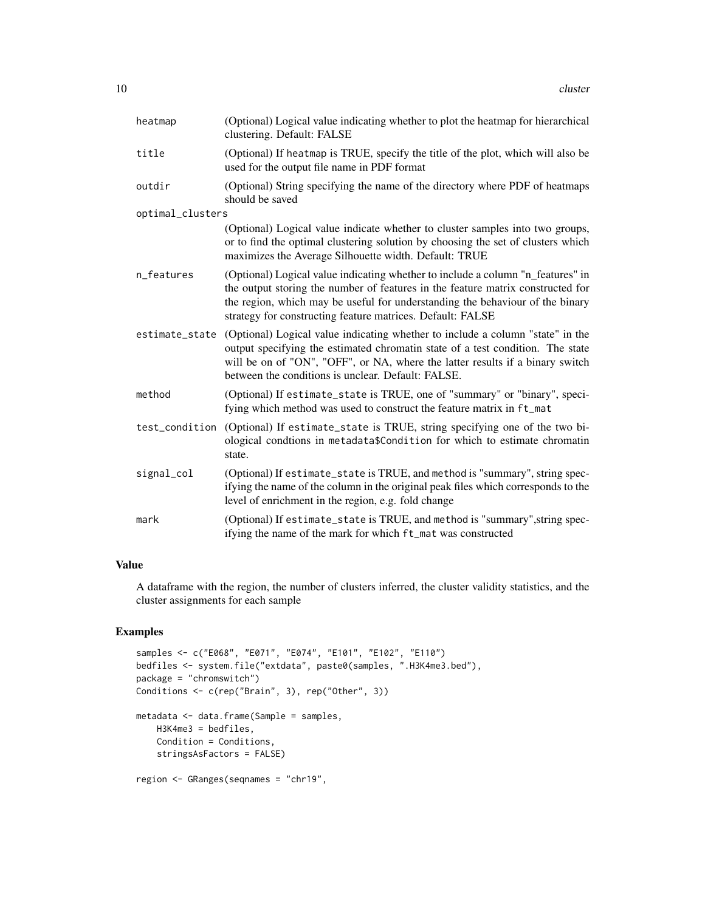| heatmap          | (Optional) Logical value indicating whether to plot the heatmap for hierarchical<br>clustering. Default: FALSE                                                                                                                                                                                                    |
|------------------|-------------------------------------------------------------------------------------------------------------------------------------------------------------------------------------------------------------------------------------------------------------------------------------------------------------------|
| title            | (Optional) If heatmap is TRUE, specify the title of the plot, which will also be<br>used for the output file name in PDF format                                                                                                                                                                                   |
| outdir           | (Optional) String specifying the name of the directory where PDF of heatmaps<br>should be saved                                                                                                                                                                                                                   |
| optimal_clusters |                                                                                                                                                                                                                                                                                                                   |
|                  | (Optional) Logical value indicate whether to cluster samples into two groups,<br>or to find the optimal clustering solution by choosing the set of clusters which<br>maximizes the Average Silhouette width. Default: TRUE                                                                                        |
| n_features       | (Optional) Logical value indicating whether to include a column "n_features" in<br>the output storing the number of features in the feature matrix constructed for<br>the region, which may be useful for understanding the behaviour of the binary<br>strategy for constructing feature matrices. Default: FALSE |
| estimate_state   | (Optional) Logical value indicating whether to include a column "state" in the<br>output specifying the estimated chromatin state of a test condition. The state<br>will be on of "ON", "OFF", or NA, where the latter results if a binary switch<br>between the conditions is unclear. Default: FALSE.           |
| method           | (Optional) If estimate_state is TRUE, one of "summary" or "binary", speci-<br>fying which method was used to construct the feature matrix in ft_mat                                                                                                                                                               |
| test_condition   | (Optional) If estimate_state is TRUE, string specifying one of the two bi-<br>ological condtions in metadata\$Condition for which to estimate chromatin<br>state.                                                                                                                                                 |
| signal_col       | (Optional) If estimate_state is TRUE, and method is "summary", string spec-<br>if ying the name of the column in the original peak files which corresponds to the<br>level of enrichment in the region, e.g. fold change                                                                                          |
| mark             | (Optional) If estimate_state is TRUE, and method is "summary", string spec-<br>ifying the name of the mark for which ft_mat was constructed                                                                                                                                                                       |

#### Value

A dataframe with the region, the number of clusters inferred, the cluster validity statistics, and the cluster assignments for each sample

```
samples <- c("E068", "E071", "E074", "E101", "E102", "E110")
bedfiles <- system.file("extdata", paste0(samples, ".H3K4me3.bed"),
package = "chromswitch")
Conditions <- c(rep("Brain", 3), rep("Other", 3))
metadata <- data.frame(Sample = samples,
   H3K4me3 = bedfiles,
   Condition = Conditions,
   stringsAsFactors = FALSE)
region <- GRanges(seqnames = "chr19",
```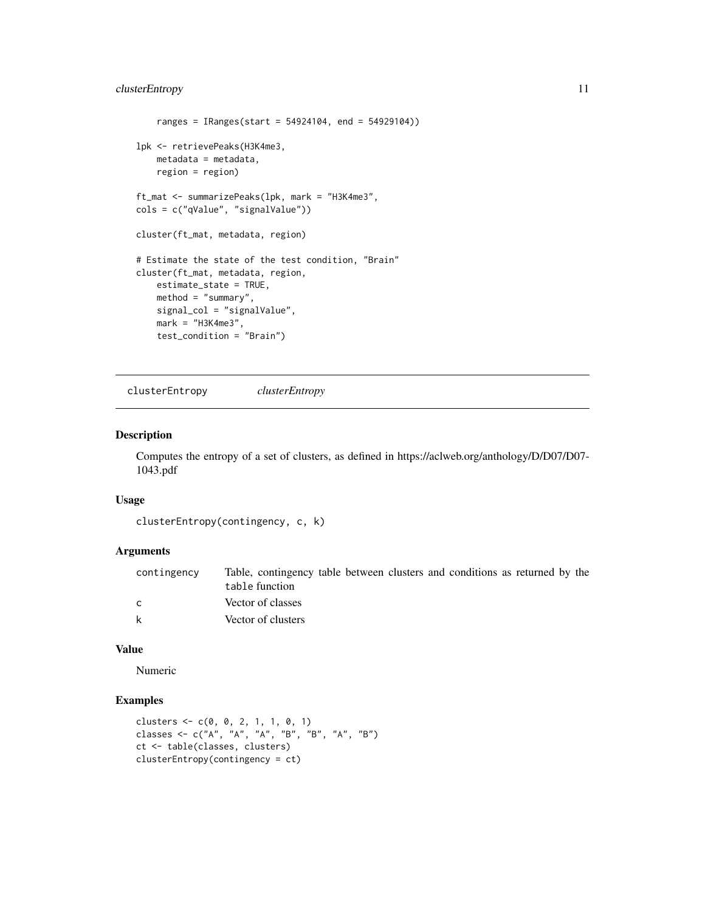```
ranges = IRanges(start = 54924104, end = 54929104))
lpk <- retrievePeaks(H3K4me3,
   metadata = metadata,
   region = region)
ft_mat <- summarizePeaks(lpk, mark = "H3K4me3",
cols = c("qValue", "signalValue"))
cluster(ft_mat, metadata, region)
# Estimate the state of the test condition, "Brain"
cluster(ft_mat, metadata, region,
   estimate_state = TRUE,
   method = "summary",
   signal_col = "signalValue",
   mark = "H3K4me3",
   test_condition = "Brain")
```
clusterEntropy *clusterEntropy*

#### Description

Computes the entropy of a set of clusters, as defined in https://aclweb.org/anthology/D/D07/D07- 1043.pdf

#### Usage

```
clusterEntropy(contingency, c, k)
```
#### Arguments

| contingency | Table, contingency table between clusters and conditions as returned by the |
|-------------|-----------------------------------------------------------------------------|
|             | table function                                                              |
| C           | Vector of classes                                                           |
| k           | Vector of clusters                                                          |

#### Value

Numeric

```
clusters <- c(0, 0, 2, 1, 1, 0, 1)
classes <- c("A", "A", "A", "B", "B", "A", "B")
ct <- table(classes, clusters)
clusterEntropy(contingency = ct)
```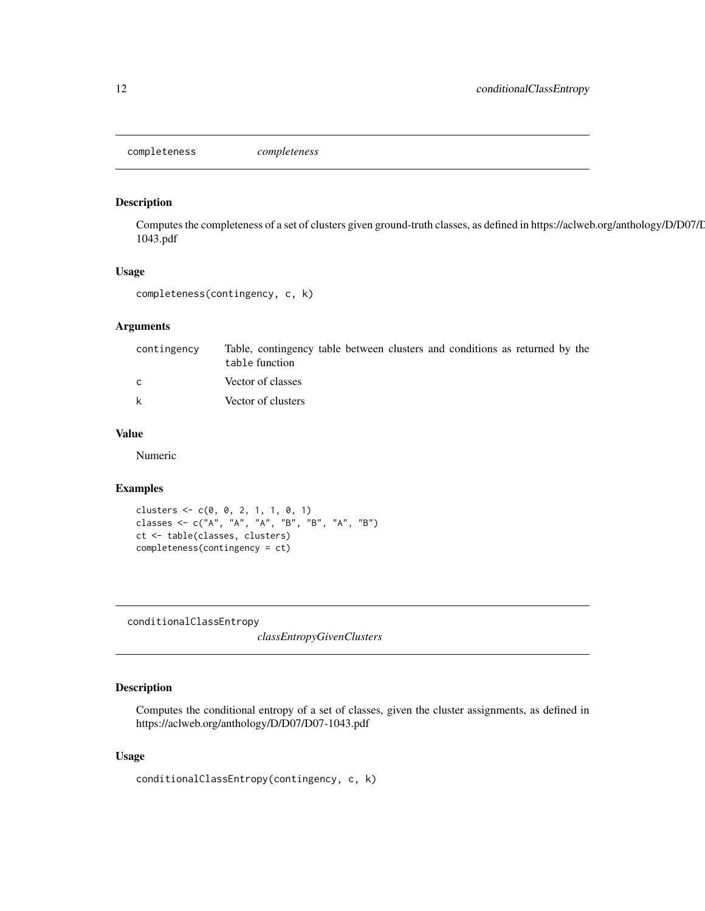<span id="page-11-0"></span>completeness *completeness*

#### Description

Computes the completeness of a set of clusters given ground-truth classes, as defined in https://aclweb.org/anthology/D/D07/D07- 1043.pdf

#### Usage

```
completeness(contingency, c, k)
```
#### Arguments

| contingency  | Table, contingency table between clusters and conditions as returned by the<br>table function |
|--------------|-----------------------------------------------------------------------------------------------|
| $\mathsf{C}$ | Vector of classes                                                                             |
| k            | Vector of clusters                                                                            |

#### Value

Numeric

#### Examples

```
clusters <- c(0, 0, 2, 1, 1, 0, 1)
classes <- c("A", "A", "A", "B", "B", "A", "B")
ct <- table(classes, clusters)
completeness(contingency = ct)
```
conditionalClassEntropy

*classEntropyGivenClusters*

#### Description

Computes the conditional entropy of a set of classes, given the cluster assignments, as defined in https://aclweb.org/anthology/D/D07/D07-1043.pdf

#### Usage

conditionalClassEntropy(contingency, c, k)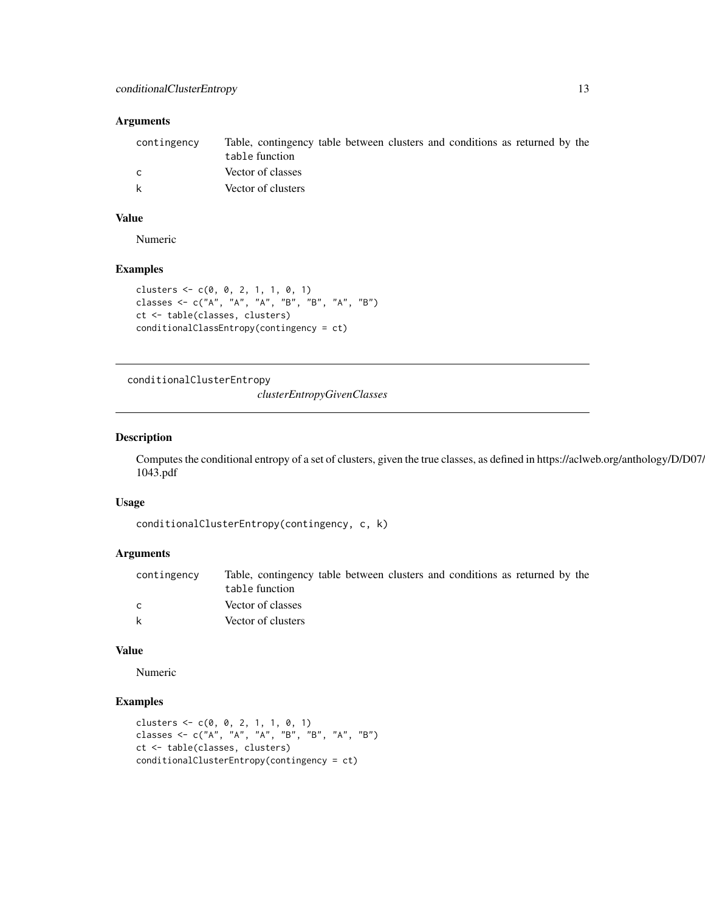#### <span id="page-12-0"></span>Arguments

| contingency | Table, contingency table between clusters and conditions as returned by the<br>table function |
|-------------|-----------------------------------------------------------------------------------------------|
|             | Vector of classes                                                                             |
| k           | Vector of clusters                                                                            |

#### Value

Numeric

#### Examples

```
clusters <- c(0, 0, 2, 1, 1, 0, 1)
classes <- c("A", "A", "A", "B", "B", "A", "B")
ct <- table(classes, clusters)
conditionalClassEntropy(contingency = ct)
```
conditionalClusterEntropy

*clusterEntropyGivenClasses*

#### Description

Computes the conditional entropy of a set of clusters, given the true classes, as defined in https://aclweb.org/anthology/D/D07/ 1043.pdf

#### Usage

```
conditionalClusterEntropy(contingency, c, k)
```
#### Arguments

| contingency | Table, contingency table between clusters and conditions as returned by the |
|-------------|-----------------------------------------------------------------------------|
|             | table function                                                              |
|             | Vector of classes                                                           |
| k           | Vector of clusters                                                          |

#### Value

Numeric

```
clusters <- c(0, 0, 2, 1, 1, 0, 1)
classes <- c("A", "A", "A", "B", "B", "A", "B")
ct <- table(classes, clusters)
conditionalClusterEntropy(contingency = ct)
```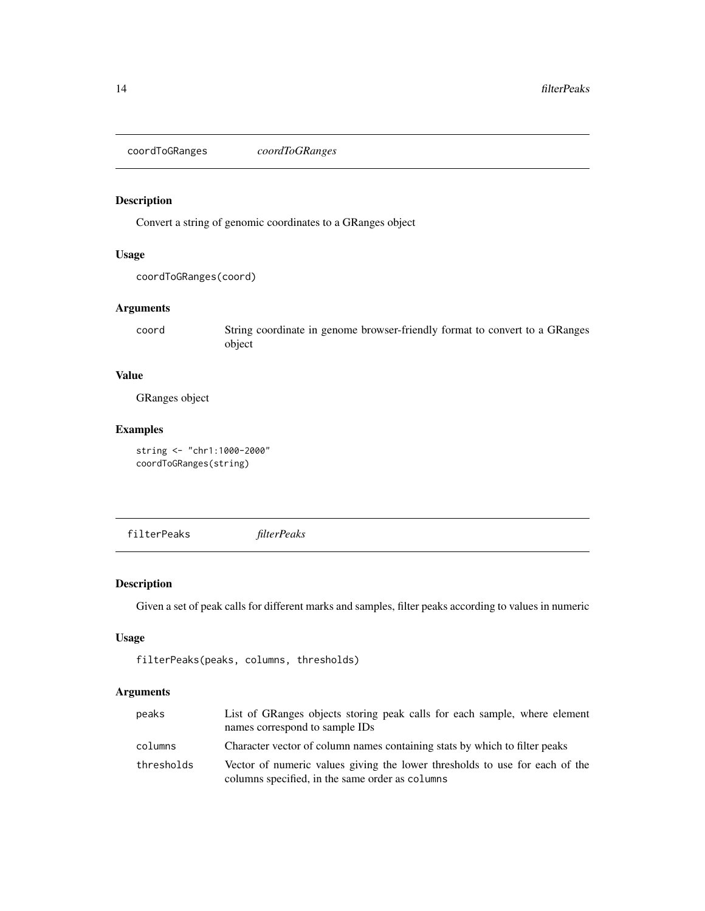<span id="page-13-0"></span>coordToGRanges *coordToGRanges*

#### Description

Convert a string of genomic coordinates to a GRanges object

#### Usage

```
coordToGRanges(coord)
```
#### Arguments

coord String coordinate in genome browser-friendly format to convert to a GRanges object

#### Value

GRanges object

#### Examples

string <- "chr1:1000-2000" coordToGRanges(string)

<span id="page-13-1"></span>filterPeaks *filterPeaks*

#### Description

Given a set of peak calls for different marks and samples, filter peaks according to values in numeric

#### Usage

```
filterPeaks(peaks, columns, thresholds)
```
#### Arguments

| peaks      | List of GRanges objects storing peak calls for each sample, where element<br>names correspond to sample IDs                    |
|------------|--------------------------------------------------------------------------------------------------------------------------------|
| columns    | Character vector of column names containing stats by which to filter peaks                                                     |
| thresholds | Vector of numeric values giving the lower thresholds to use for each of the<br>columns specified, in the same order as columns |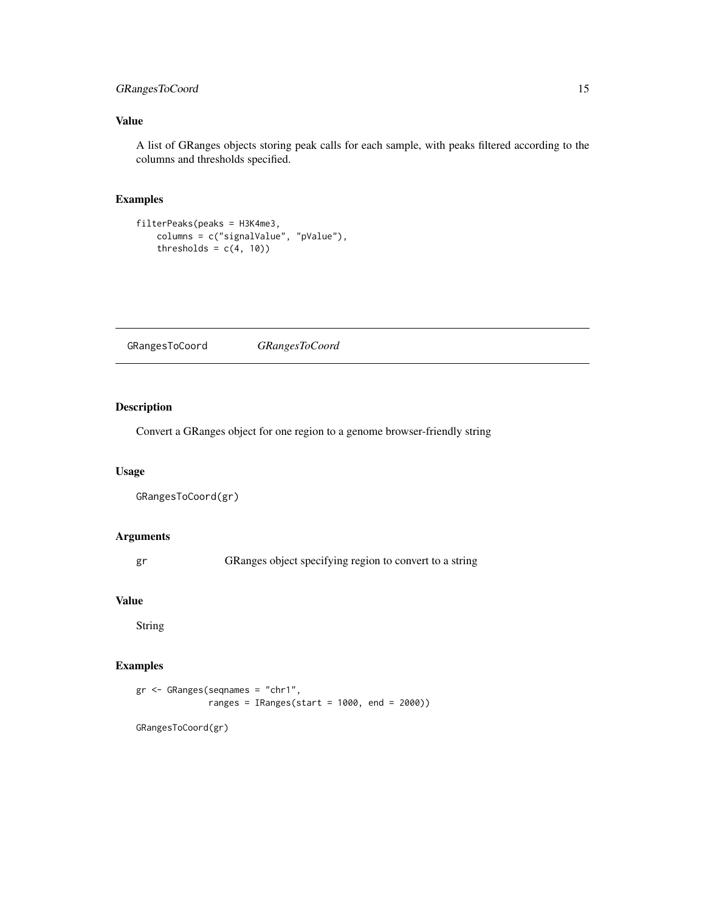#### <span id="page-14-0"></span>GRangesToCoord 15

#### Value

A list of GRanges objects storing peak calls for each sample, with peaks filtered according to the columns and thresholds specified.

#### Examples

```
filterPeaks(peaks = H3K4me3,
   columns = c("signalValue", "pValue"),
   thresholds = c(4, 10))
```
GRangesToCoord *GRangesToCoord*

#### Description

Convert a GRanges object for one region to a genome browser-friendly string

#### Usage

```
GRangesToCoord(gr)
```
#### Arguments

gr GRanges object specifying region to convert to a string

#### Value

String

#### Examples

```
gr <- GRanges(seqnames = "chr1",
              ranges = IRanges(start = 1000, end = 2000))
```
GRangesToCoord(gr)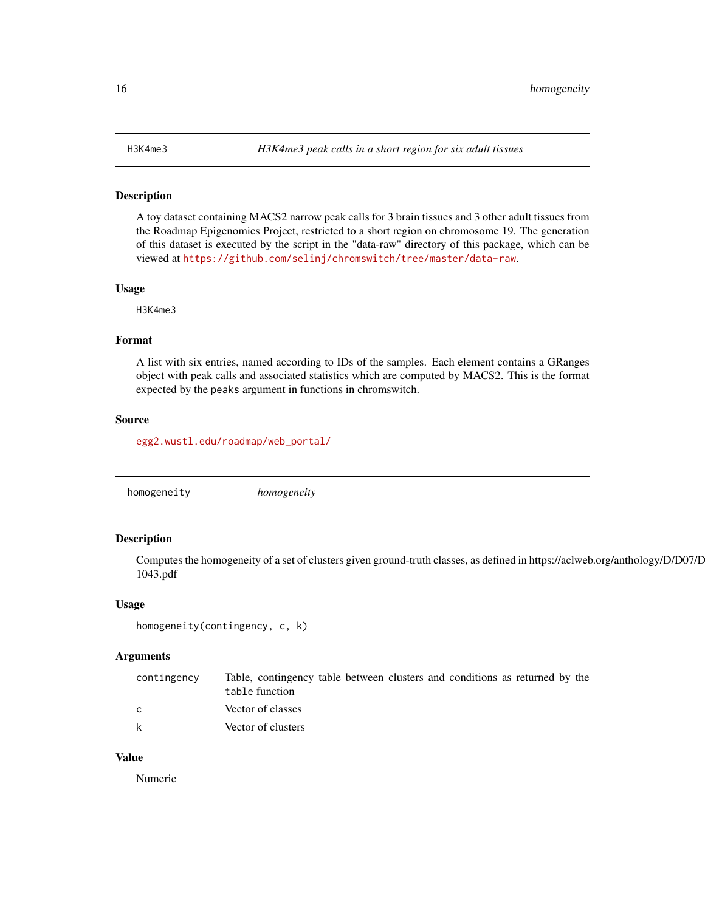#### <span id="page-15-0"></span>Description

A toy dataset containing MACS2 narrow peak calls for 3 brain tissues and 3 other adult tissues from the Roadmap Epigenomics Project, restricted to a short region on chromosome 19. The generation of this dataset is executed by the script in the "data-raw" directory of this package, which can be viewed at <https://github.com/selinj/chromswitch/tree/master/data-raw>.

#### Usage

H3K4me3

#### Format

A list with six entries, named according to IDs of the samples. Each element contains a GRanges object with peak calls and associated statistics which are computed by MACS2. This is the format expected by the peaks argument in functions in chromswitch.

#### Source

[egg2.wustl.edu/roadmap/web\\_portal/](egg2.wustl.edu/roadmap/web_portal/)

|  | homogeneity | homogeneity |  |  |
|--|-------------|-------------|--|--|
|--|-------------|-------------|--|--|

#### Description

Computes the homogeneity of a set of clusters given ground-truth classes, as defined in https://aclweb.org/anthology/D/D07/D07- 1043.pdf

#### Usage

```
homogeneity(contingency, c, k)
```
#### Arguments

| contingency | Table, contingency table between clusters and conditions as returned by the<br>table function |
|-------------|-----------------------------------------------------------------------------------------------|
| C.          | Vector of classes                                                                             |
| k           | Vector of clusters                                                                            |

#### Value

Numeric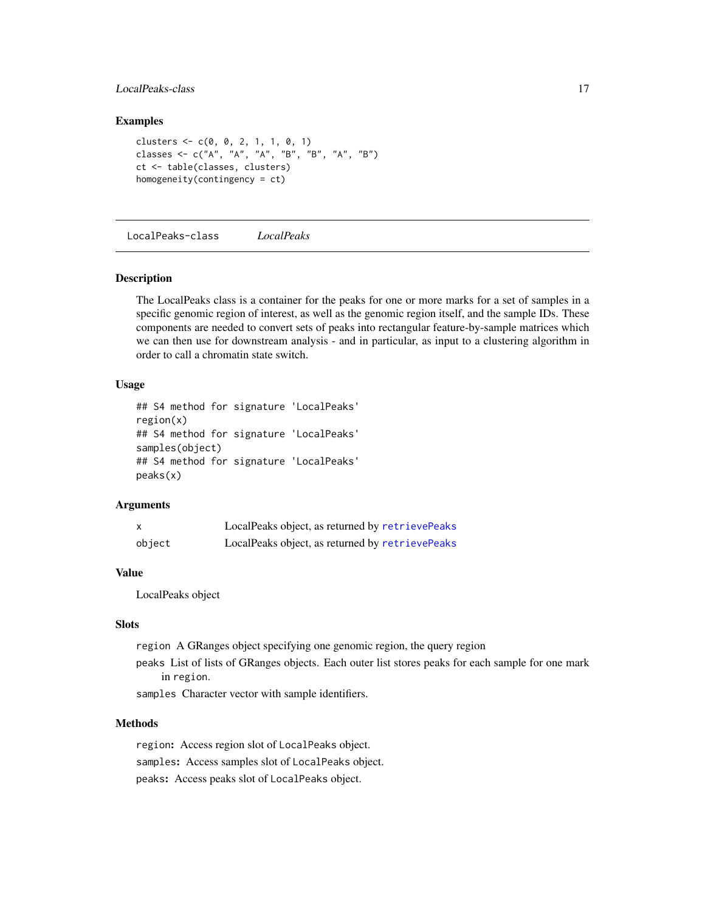#### <span id="page-16-0"></span>LocalPeaks-class 17

#### Examples

```
clusters \leq c(0, 0, 2, 1, 1, 0, 1)classes <- c("A", "A", "A", "B", "B", "A", "B")
ct <- table(classes, clusters)
homogeneity(contingency = ct)
```
<span id="page-16-1"></span>LocalPeaks-class *LocalPeaks*

#### **Description**

The LocalPeaks class is a container for the peaks for one or more marks for a set of samples in a specific genomic region of interest, as well as the genomic region itself, and the sample IDs. These components are needed to convert sets of peaks into rectangular feature-by-sample matrices which we can then use for downstream analysis - and in particular, as input to a clustering algorithm in order to call a chromatin state switch.

#### Usage

```
## S4 method for signature 'LocalPeaks'
region(x)
## S4 method for signature 'LocalPeaks'
samples(object)
## S4 method for signature 'LocalPeaks'
peaks(x)
```
#### Arguments

| x      | LocalPeaks object, as returned by retrievePeaks |
|--------|-------------------------------------------------|
| object | LocalPeaks object, as returned by retrievePeaks |

#### Value

LocalPeaks object

#### Slots

region A GRanges object specifying one genomic region, the query region

peaks List of lists of GRanges objects. Each outer list stores peaks for each sample for one mark in region.

samples Character vector with sample identifiers.

#### Methods

region: Access region slot of LocalPeaks object. samples: Access samples slot of LocalPeaks object. peaks: Access peaks slot of LocalPeaks object.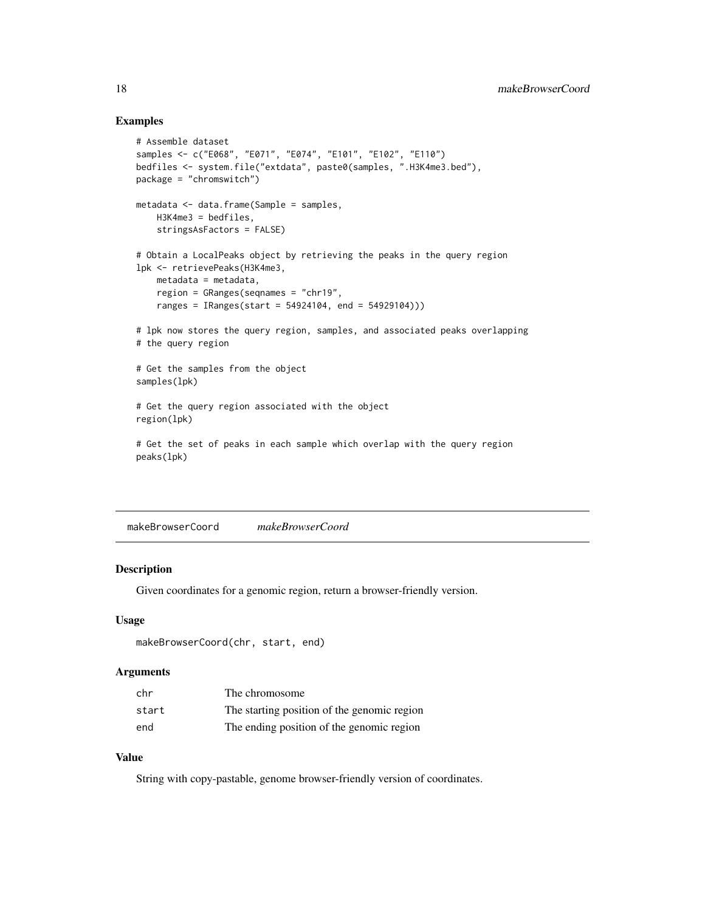#### <span id="page-17-0"></span>Examples

```
# Assemble dataset
samples <- c("E068", "E071", "E074", "E101", "E102", "E110")
bedfiles <- system.file("extdata", paste0(samples, ".H3K4me3.bed"),
package = "chromswitch")
metadata <- data.frame(Sample = samples,
   H3K4me3 = bedfiles,
   stringsAsFactors = FALSE)
# Obtain a LocalPeaks object by retrieving the peaks in the query region
lpk <- retrievePeaks(H3K4me3,
   metadata = metadata,
   region = GRanges(seqnames = "chr19",
   ranges = IRanges(start = 54924104, end = 54929104)))
# lpk now stores the query region, samples, and associated peaks overlapping
# the query region
# Get the samples from the object
samples(lpk)
# Get the query region associated with the object
region(lpk)
# Get the set of peaks in each sample which overlap with the query region
peaks(lpk)
```
makeBrowserCoord *makeBrowserCoord*

#### Description

Given coordinates for a genomic region, return a browser-friendly version.

#### Usage

```
makeBrowserCoord(chr, start, end)
```
#### Arguments

| chr   | The chromosome                              |
|-------|---------------------------------------------|
| start | The starting position of the genomic region |
| end   | The ending position of the genomic region   |

#### Value

String with copy-pastable, genome browser-friendly version of coordinates.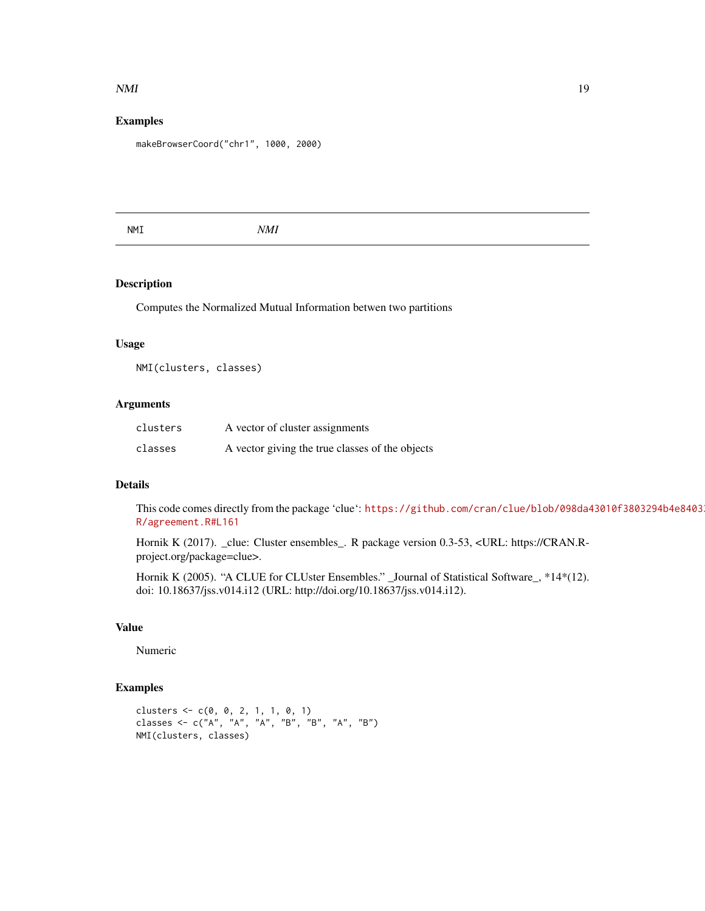#### <span id="page-18-0"></span> $NMI$  19

#### Examples

makeBrowserCoord("chr1", 1000, 2000)

NMI *NMI*

#### Description

Computes the Normalized Mutual Information betwen two partitions

#### Usage

NMI(clusters, classes)

#### Arguments

| clusters | A vector of cluster assignments                 |
|----------|-------------------------------------------------|
| classes  | A vector giving the true classes of the objects |

#### Details

This code comes directly from the package 'clue': [https://github.com/cran/clue/blob/098da4](https://github.com/cran/clue/blob/098da43010f3803294b4e8403328ee5c0216abf7/R/agreement.R#L161)3010f3803294b4e8403 [R/agreement.R#L161](https://github.com/cran/clue/blob/098da43010f3803294b4e8403328ee5c0216abf7/R/agreement.R#L161)

Hornik K (2017). \_clue: Cluster ensembles\_. R package version 0.3-53, <URL: https://CRAN.Rproject.org/package=clue>.

Hornik K (2005). "A CLUE for CLUster Ensembles." \_Journal of Statistical Software\_, \*14\*(12). doi: 10.18637/jss.v014.i12 (URL: http://doi.org/10.18637/jss.v014.i12).

#### Value

Numeric

```
clusters \leq -c(0, 0, 2, 1, 1, 0, 1)classes <- c("A", "A", "A", "B", "B", "A", "B")
NMI(clusters, classes)
```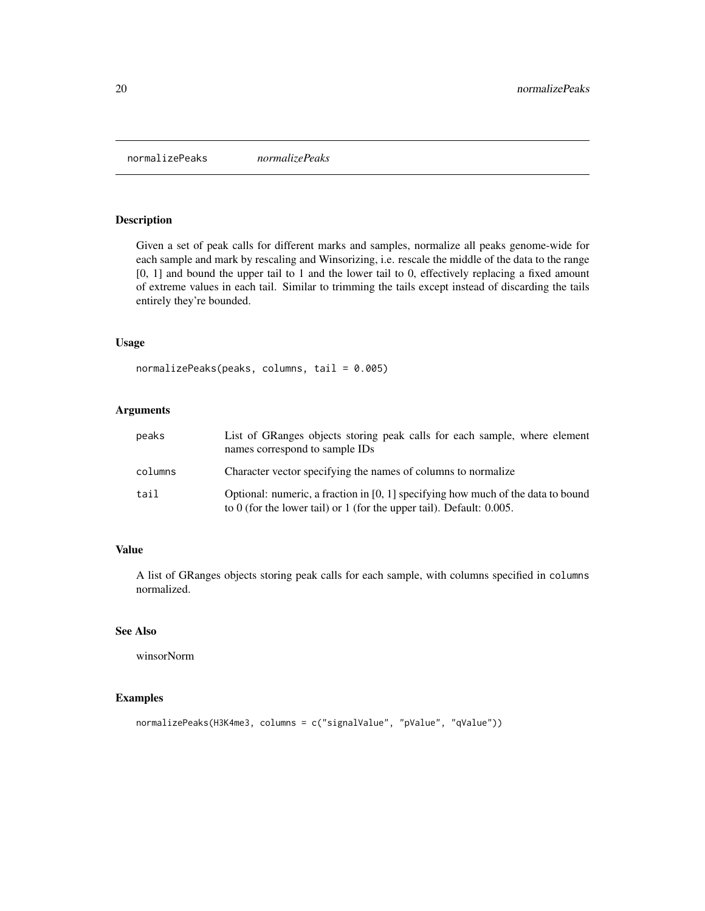<span id="page-19-1"></span><span id="page-19-0"></span>normalizePeaks *normalizePeaks*

#### Description

Given a set of peak calls for different marks and samples, normalize all peaks genome-wide for each sample and mark by rescaling and Winsorizing, i.e. rescale the middle of the data to the range [0, 1] and bound the upper tail to 1 and the lower tail to 0, effectively replacing a fixed amount of extreme values in each tail. Similar to trimming the tails except instead of discarding the tails entirely they're bounded.

#### Usage

```
normalizePeaks(peaks, columns, tail = 0.005)
```
#### Arguments

| peaks   | List of GRanges objects storing peak calls for each sample, where element<br>names correspond to sample IDs                                                   |
|---------|---------------------------------------------------------------------------------------------------------------------------------------------------------------|
| columns | Character vector specifying the names of columns to normalize                                                                                                 |
| tail    | Optional: numeric, a fraction in $[0, 1]$ specifying how much of the data to bound<br>to 0 (for the lower tail) or 1 (for the upper tail). Default: $0.005$ . |

#### Value

A list of GRanges objects storing peak calls for each sample, with columns specified in columns normalized.

#### See Also

winsorNorm

```
normalizePeaks(H3K4me3, columns = c("signalValue", "pValue", "qValue"))
```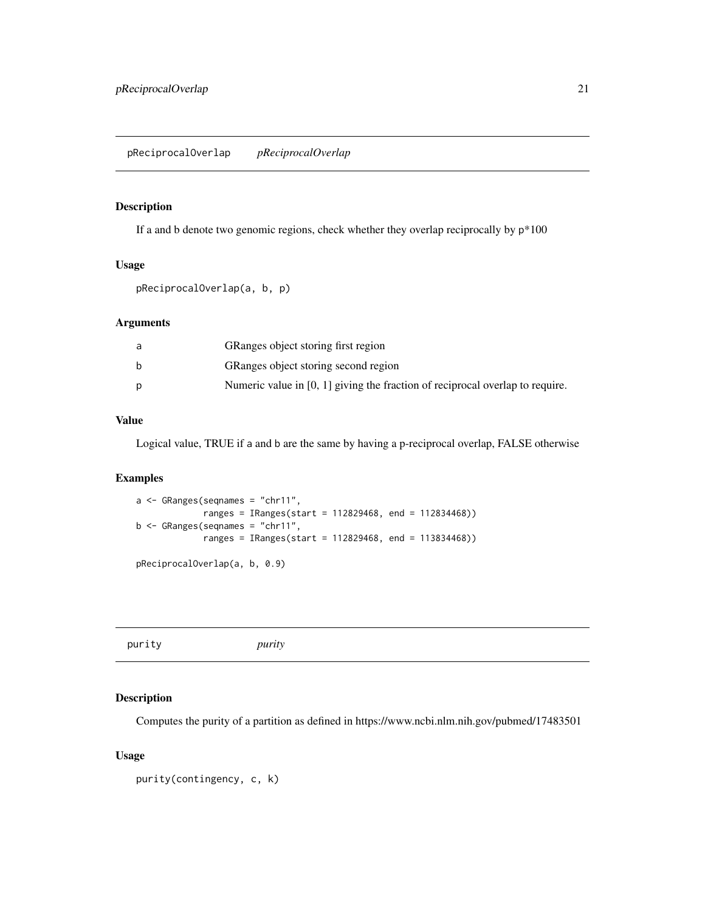## <span id="page-20-0"></span>Description

If a and b denote two genomic regions, check whether they overlap reciprocally by  $p*100$ 

#### Usage

pReciprocalOverlap(a, b, p)

#### Arguments

| GRanges object storing first region                                             |
|---------------------------------------------------------------------------------|
| GRanges object storing second region                                            |
| Numeric value in $[0, 1]$ giving the fraction of reciprocal overlap to require. |

#### Value

Logical value, TRUE if a and b are the same by having a p-reciprocal overlap, FALSE otherwise

#### Examples

```
a <- GRanges(seqnames = "chr11",
            ranges = IRanges(start = 112829468, end = 112834468))
b \leq GRanges(seqnames = "chr11",
            ranges = IRanges(start = 112829468, end = 113834468))
pReciprocalOverlap(a, b, 0.9)
```
purity *purity*

#### Description

Computes the purity of a partition as defined in https://www.ncbi.nlm.nih.gov/pubmed/17483501

#### Usage

```
purity(contingency, c, k)
```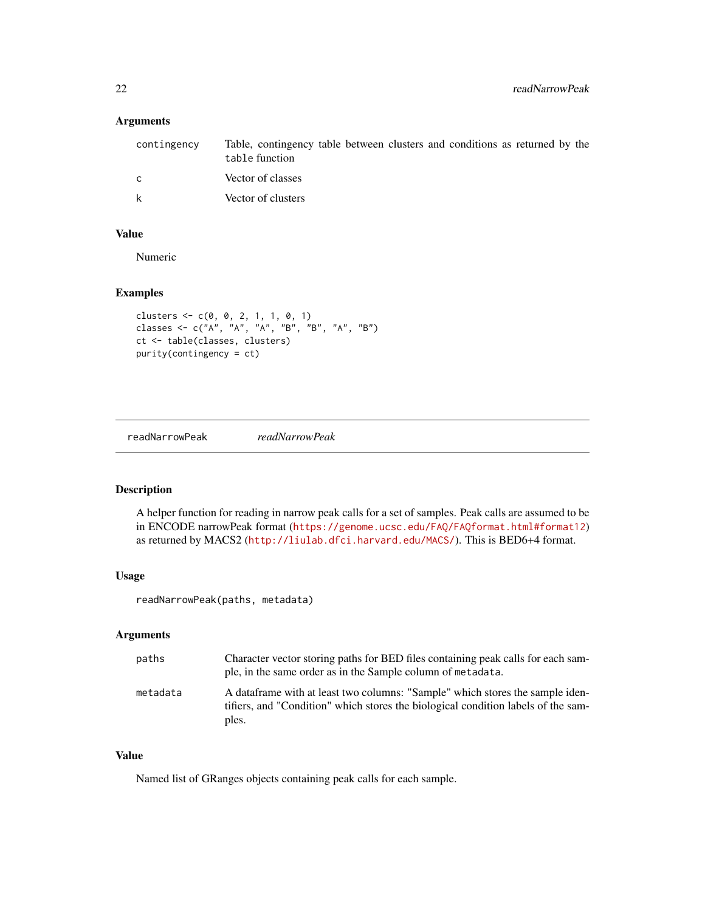#### <span id="page-21-0"></span>Arguments

| contingency  | Table, contingency table between clusters and conditions as returned by the<br>table function |
|--------------|-----------------------------------------------------------------------------------------------|
| $\mathsf{C}$ | Vector of classes                                                                             |
| k            | Vector of clusters                                                                            |

#### Value

Numeric

#### Examples

```
clusters <- c(0, 0, 2, 1, 1, 0, 1)
classes <- c("A", "A", "A", "B", "B", "A", "B")
ct <- table(classes, clusters)
purity(contingency = ct)
```
readNarrowPeak *readNarrowPeak*

#### Description

A helper function for reading in narrow peak calls for a set of samples. Peak calls are assumed to be in ENCODE narrowPeak format (<https://genome.ucsc.edu/FAQ/FAQformat.html#format12>) as returned by MACS2 (<http://liulab.dfci.harvard.edu/MACS/>). This is BED6+4 format.

#### Usage

readNarrowPeak(paths, metadata)

#### Arguments

| paths    | Character vector storing paths for BED files containing peak calls for each sam-<br>ple, in the same order as in the Sample column of metadata.                             |
|----------|-----------------------------------------------------------------------------------------------------------------------------------------------------------------------------|
| metadata | A dataframe with at least two columns: "Sample" which stores the sample iden-<br>tifiers, and "Condition" which stores the biological condition labels of the sam-<br>ples. |

#### Value

Named list of GRanges objects containing peak calls for each sample.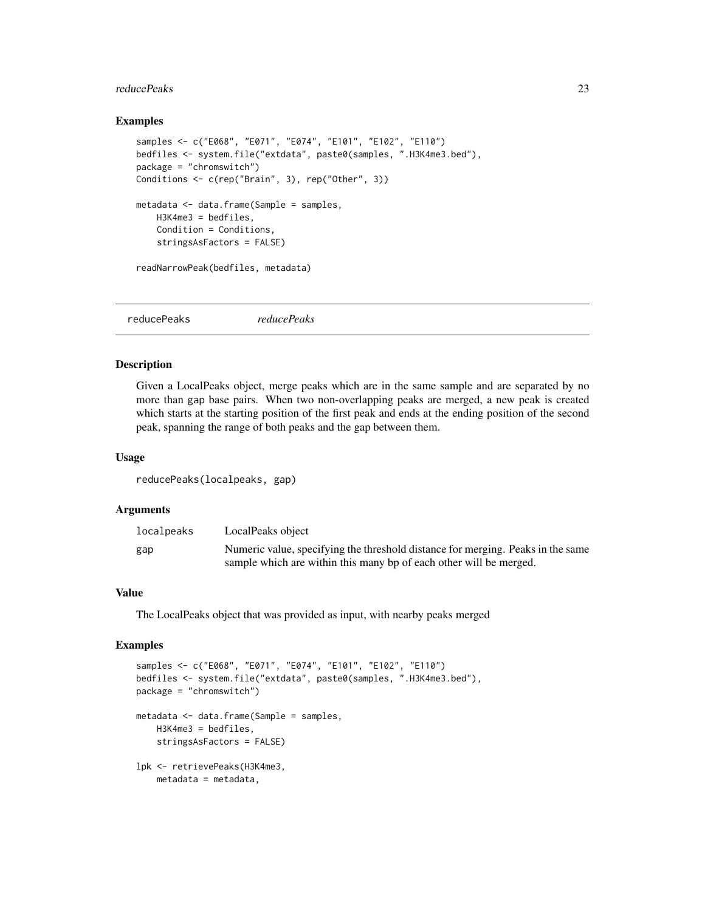#### <span id="page-22-0"></span>reducePeaks 23

#### Examples

```
samples <- c("E068", "E071", "E074", "E101", "E102", "E110")
bedfiles <- system.file("extdata", paste0(samples, ".H3K4me3.bed"),
package = "chromswitch")
Conditions <- c(rep("Brain", 3), rep("Other", 3))
metadata <- data.frame(Sample = samples,
   H3K4me3 = bedfiles,
   Condition = Conditions,
    stringsAsFactors = FALSE)
readNarrowPeak(bedfiles, metadata)
```
<span id="page-22-1"></span>

|--|

#### Description

Given a LocalPeaks object, merge peaks which are in the same sample and are separated by no more than gap base pairs. When two non-overlapping peaks are merged, a new peak is created which starts at the starting position of the first peak and ends at the ending position of the second peak, spanning the range of both peaks and the gap between them.

#### Usage

reducePeaks(localpeaks, gap)

#### Arguments

| localpeaks | LocalPeaks object                                                               |
|------------|---------------------------------------------------------------------------------|
| gap        | Numeric value, specifying the threshold distance for merging. Peaks in the same |
|            | sample which are within this many bp of each other will be merged.              |

#### Value

The LocalPeaks object that was provided as input, with nearby peaks merged

```
samples <- c("E068", "E071", "E074", "E101", "E102", "E110")
bedfiles <- system.file("extdata", paste0(samples, ".H3K4me3.bed"),
package = "chromswitch")
metadata <- data.frame(Sample = samples,
   H3K4me3 = bedfiles,
   stringsAsFactors = FALSE)
lpk <- retrievePeaks(H3K4me3,
   metadata = metadata,
```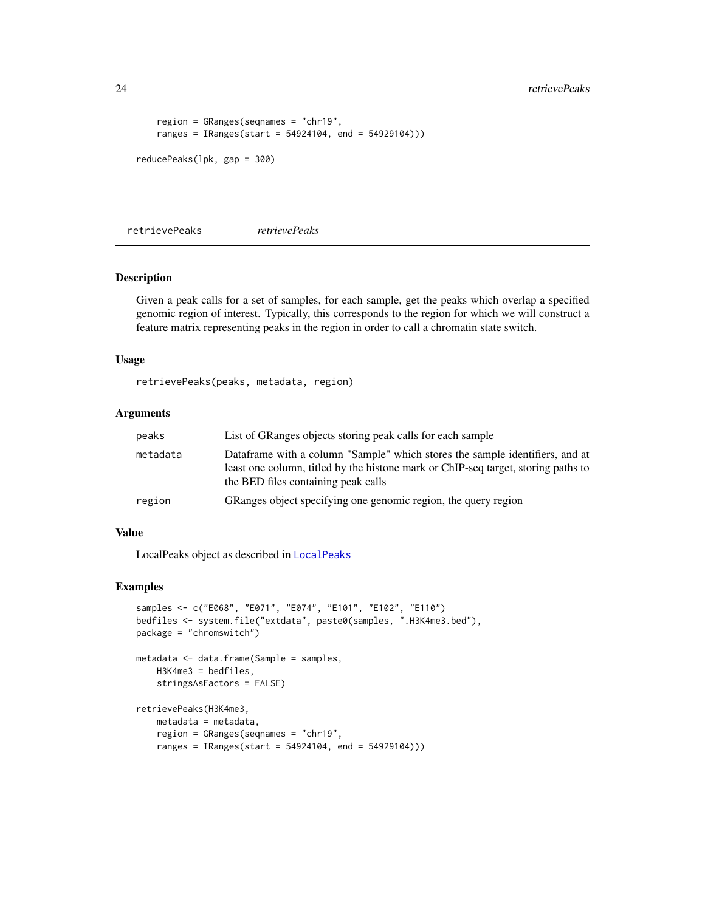<span id="page-23-0"></span>24 retrievePeaks

```
region = GRanges(seqnames = "chr19",
    ranges = IRanges(start = 54924104, end = 54929104)))
reducePeaks(lpk, gap = 300)
```
<span id="page-23-1"></span>retrievePeaks *retrievePeaks*

#### Description

Given a peak calls for a set of samples, for each sample, get the peaks which overlap a specified genomic region of interest. Typically, this corresponds to the region for which we will construct a feature matrix representing peaks in the region in order to call a chromatin state switch.

#### Usage

retrievePeaks(peaks, metadata, region)

#### Arguments

| peaks    | List of GRanges objects storing peak calls for each sample                                                                                                                                               |
|----------|----------------------------------------------------------------------------------------------------------------------------------------------------------------------------------------------------------|
| metadata | Dataframe with a column "Sample" which stores the sample identifiers, and at<br>least one column, titled by the histone mark or ChIP-seq target, storing paths to<br>the BED files containing peak calls |
| region   | GRanges object specifying one genomic region, the query region                                                                                                                                           |

#### Value

LocalPeaks object as described in [LocalPeaks](#page-16-1)

```
samples <- c("E068", "E071", "E074", "E101", "E102", "E110")
bedfiles <- system.file("extdata", paste0(samples, ".H3K4me3.bed"),
package = "chromswitch")
metadata <- data.frame(Sample = samples,
   H3K4me3 = bedfiles,
   stringsAsFactors = FALSE)
retrievePeaks(H3K4me3,
    metadata = metadata,
    region = GRanges(seqnames = "chr19",
    ranges = IRanges(start = 54924104, end = 54929104)))
```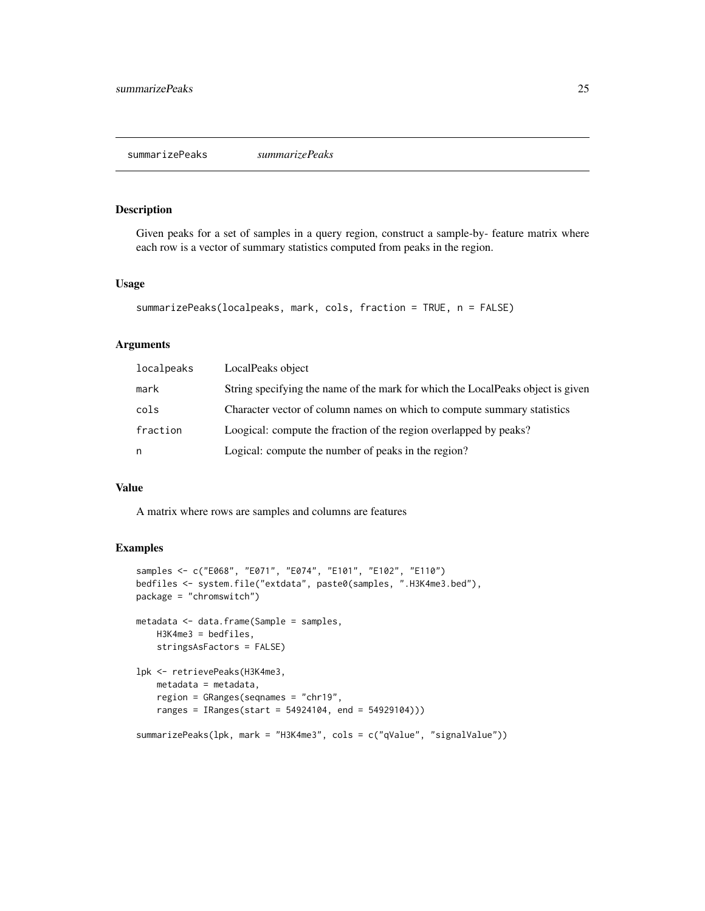#### <span id="page-24-1"></span><span id="page-24-0"></span>Description

Given peaks for a set of samples in a query region, construct a sample-by- feature matrix where each row is a vector of summary statistics computed from peaks in the region.

#### Usage

```
summarizePeaks(localpeaks, mark, cols, fraction = TRUE, n = FALSE)
```
#### Arguments

| localpeaks | LocalPeaks object                                                               |
|------------|---------------------------------------------------------------------------------|
| mark       | String specifying the name of the mark for which the LocalPeaks object is given |
| cols       | Character vector of column names on which to compute summary statistics         |
| fraction   | Loogical: compute the fraction of the region overlapped by peaks?               |
| n          | Logical: compute the number of peaks in the region?                             |

#### Value

A matrix where rows are samples and columns are features

```
samples <- c("E068", "E071", "E074", "E101", "E102", "E110")
bedfiles <- system.file("extdata", paste0(samples, ".H3K4me3.bed"),
package = "chromswitch")
metadata <- data.frame(Sample = samples,
   H3K4me3 = bedfiles,
   stringsAsFactors = FALSE)
lpk <- retrievePeaks(H3K4me3,
   metadata = metadata,
   region = GRanges(seqnames = "chr19",
    ranges = IRanges(start = 54924104, end = 54929104)))
summarizePeaks(lpk, mark = "H3K4me3", cols = c("qValue", "signalValue"))
```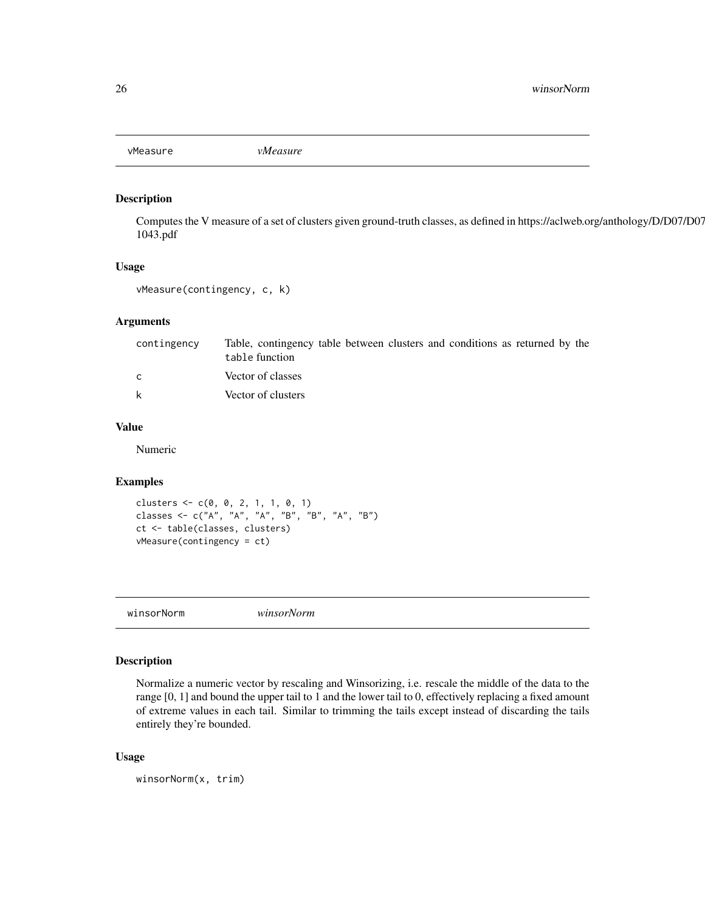<span id="page-25-0"></span>vMeasure *vMeasure*

#### Description

Computes the V measure of a set of clusters given ground-truth classes, as defined in https://aclweb.org/anthology/D/D07/D07- 1043.pdf

#### Usage

vMeasure(contingency, c, k)

#### Arguments

| contingency  | Table, contingency table between clusters and conditions as returned by the<br>table function |
|--------------|-----------------------------------------------------------------------------------------------|
| $\mathsf{C}$ | Vector of classes                                                                             |
| k            | Vector of clusters                                                                            |

#### Value

Numeric

#### Examples

clusters  $\leq c(0, 0, 2, 1, 1, 0, 1)$ classes <- c("A", "A", "A", "B", "B", "A", "B") ct <- table(classes, clusters) vMeasure(contingency = ct)

winsorNorm *winsorNorm*

#### Description

Normalize a numeric vector by rescaling and Winsorizing, i.e. rescale the middle of the data to the range [0, 1] and bound the upper tail to 1 and the lower tail to 0, effectively replacing a fixed amount of extreme values in each tail. Similar to trimming the tails except instead of discarding the tails entirely they're bounded.

#### Usage

winsorNorm(x, trim)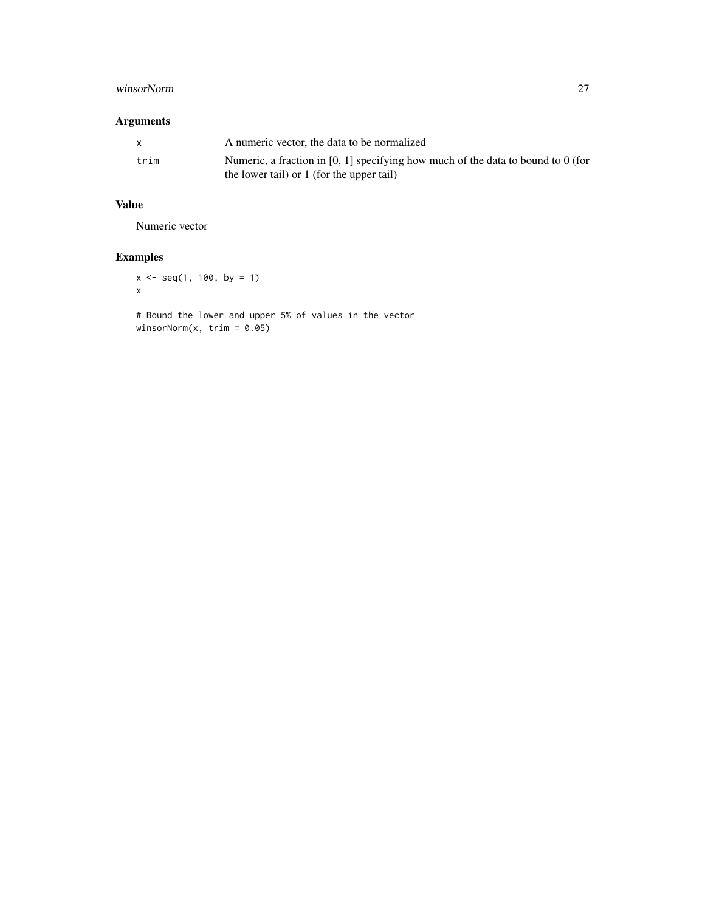#### winsorNorm 27

#### Arguments

|      | A numeric vector, the data to be normalized                                                                                   |
|------|-------------------------------------------------------------------------------------------------------------------------------|
| trim | Numeric, a fraction in [0, 1] specifying how much of the data to bound to 0 (for<br>the lower tail) or 1 (for the upper tail) |

### Value

Numeric vector

#### Examples

 $x \le -$  seq(1, 100, by = 1) x

# Bound the lower and upper 5% of values in the vector winsorNorm(x, trim = 0.05)